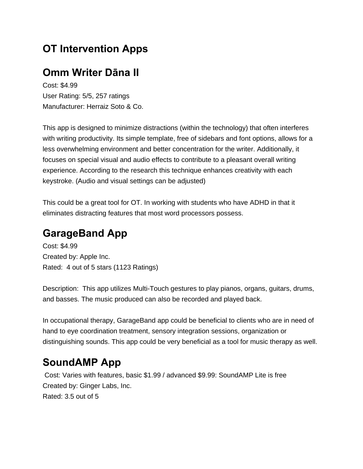# **OT Intervention Apps**

## **Omm Writer Dāna II**

Cost: \$4.99 User Rating: 5/5, 257 ratings Manufacturer: Herraiz Soto & Co.

This app is designed to minimize distractions (within the technology) that often interferes with writing productivity. Its simple template, free of sidebars and font options, allows for a less overwhelming environment and better concentration for the writer. Additionally, it focuses on special visual and audio effects to contribute to a pleasant overall writing experience. According to the research this technique enhances creativity with each keystroke. (Audio and visual settings can be adjusted)

This could be a great tool for OT. In working with students who have ADHD in that it eliminates distracting features that most word processors possess.

# **GarageBand App**

Cost: \$4.99 Created by: Apple Inc. Rated: 4 out of 5 stars (1123 Ratings)

Description: This app utilizes Multi-Touch gestures to play pianos, organs, guitars, drums, and basses. The music produced can also be recorded and played back.

In occupational therapy, GarageBand app could be beneficial to clients who are in need of hand to eye coordination treatment, sensory integration sessions, organization or distinguishing sounds. This app could be very beneficial as a tool for music therapy as well.

## **SoundAMP App**

Cost: Varies with features, basic \$1.99 / advanced \$9.99: SoundAMP Lite is free Created by: Ginger Labs, Inc. Rated: 3.5 out of 5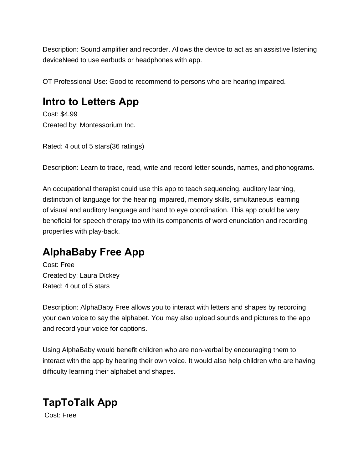Description: Sound amplifier and recorder. Allows the device to act as an assistive listening deviceNeed to use earbuds or headphones with app.

OT Professional Use: Good to recommend to persons who are hearing impaired.

# **Intro to Letters App**

Cost: \$4.99 Created by: Montessorium Inc.

Rated: 4 out of 5 stars(36 ratings)

Description: Learn to trace, read, write and record letter sounds, names, and phonograms.

An occupational therapist could use this app to teach sequencing, auditory learning, distinction of language for the hearing impaired, memory skills, simultaneous learning of visual and auditory language and hand to eye coordination. This app could be very beneficial for speech therapy too with its components of word enunciation and recording properties with play-back.

# **AlphaBaby Free App**

Cost: Free Created by: Laura Dickey Rated: 4 out of 5 stars

Description: AlphaBaby Free allows you to interact with letters and shapes by recording your own voice to say the alphabet. You may also upload sounds and pictures to the app and record your voice for captions.

Using AlphaBaby would benefit children who are non-verbal by encouraging them to interact with the app by hearing their own voice. It would also help children who are having difficulty learning their alphabet and shapes.

# **TapToTalk App**

Cost: Free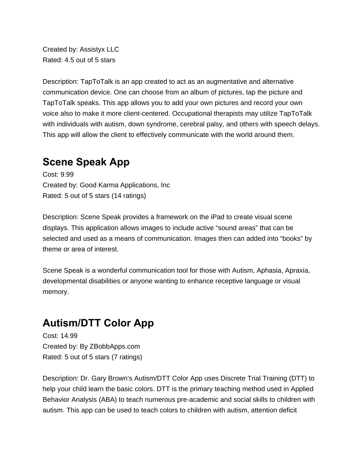Created by: Assistyx LLC Rated: 4.5 out of 5 stars

Description: TapToTalk is an app created to act as an augmentative and alternative communication device. One can choose from an album of pictures, tap the picture and TapToTalk speaks. This app allows you to add your own pictures and record your own voice also to make it more client-centered. Occupational therapists may utilize TapToTalk with individuals with autism, down syndrome, cerebral palsy, and others with speech delays. This app will allow the client to effectively communicate with the world around them.

#### **Scene Speak App**

Cost: 9.99 Created by: Good Karma Applications, Inc Rated: 5 out of 5 stars (14 ratings)

Description: Scene Speak provides a framework on the iPad to create visual scene displays. This application allows images to include active "sound areas" that can be selected and used as a means of communication. Images then can added into "books" by theme or area of interest.

Scene Speak is a wonderful communication tool for those with Autism, Aphasia, Apraxia, developmental disabilities or anyone wanting to enhance receptive language or visual memory.

## **Autism/DTT Color App**

Cost: 14.99 Created by: By ZBobbApps.com Rated: 5 out of 5 stars (7 ratings)

Description: Dr. Gary Brown's Autism/DTT Color App uses Discrete Trial Training (DTT) to help your child learn the basic colors. DTT is the primary teaching method used in Applied Behavior Analysis (ABA) to teach numerous pre-academic and social skills to children with autism. This app can be used to teach colors to children with autism, attention deficit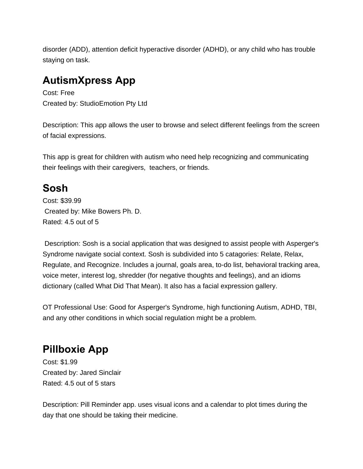disorder (ADD), attention deficit hyperactive disorder (ADHD), or any child who has trouble staying on task.

## **AutismXpress App**

Cost: Free Created by: StudioEmotion Pty Ltd

Description: This app allows the user to browse and select different feelings from the screen of facial expressions.

This app is great for children with autism who need help recognizing and communicating their feelings with their caregivers, teachers, or friends.

# **Sosh**

Cost: \$39.99 Created by: Mike Bowers Ph. D. Rated: 4.5 out of 5

 Description: Sosh is a social application that was designed to assist people with Asperger's Syndrome navigate social context. Sosh is subdivided into 5 catagories: Relate, Relax, Regulate, and Recognize. Includes a journal, goals area, to-do list, behavioral tracking area, voice meter, interest log, shredder (for negative thoughts and feelings), and an idioms dictionary (called What Did That Mean). It also has a facial expression gallery.

OT Professional Use: Good for Asperger's Syndrome, high functioning Autism, ADHD, TBI, and any other conditions in which social regulation might be a problem.

# **Pillboxie App**

Cost: \$1.99 Created by: Jared Sinclair Rated: 4.5 out of 5 stars

Description: Pill Reminder app. uses visual icons and a calendar to plot times during the day that one should be taking their medicine.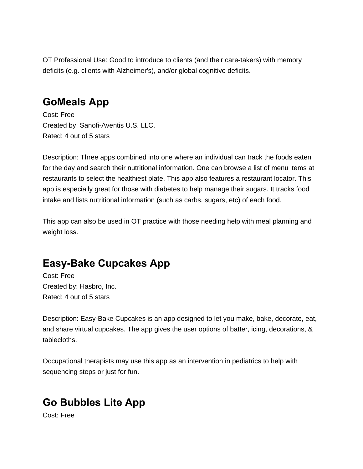OT Professional Use: Good to introduce to clients (and their care-takers) with memory deficits (e.g. clients with Alzheimer's), and/or global cognitive deficits.

#### **GoMeals App**

Cost: Free Created by: Sanofi-Aventis U.S. LLC. Rated: 4 out of 5 stars

Description: Three apps combined into one where an individual can track the foods eaten for the day and search their nutritional information. One can browse a list of menu items at restaurants to select the healthiest plate. This app also features a restaurant locator. This app is especially great for those with diabetes to help manage their sugars. It tracks food intake and lists nutritional information (such as carbs, sugars, etc) of each food.

This app can also be used in OT practice with those needing help with meal planning and weight loss.

# **Easy-Bake Cupcakes App**

Cost: Free Created by: Hasbro, Inc. Rated: 4 out of 5 stars

Description: Easy-Bake Cupcakes is an app designed to let you make, bake, decorate, eat, and share virtual cupcakes. The app gives the user options of batter, icing, decorations, & tablecloths.

Occupational therapists may use this app as an intervention in pediatrics to help with sequencing steps or just for fun.

# **Go Bubbles Lite App**

Cost: Free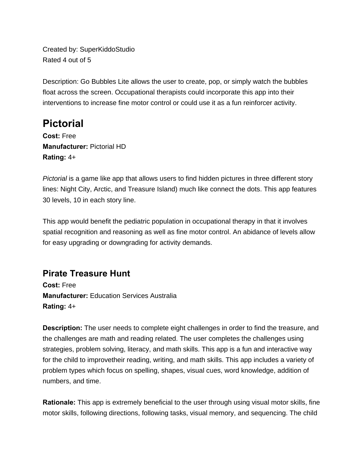Created by: SuperKiddoStudio Rated 4 out of 5

Description: Go Bubbles Lite allows the user to create, pop, or simply watch the bubbles float across the screen. Occupational therapists could incorporate this app into their interventions to increase fine motor control or could use it as a fun reinforcer activity.

## **Pictorial**

**Cost:** Free **Manufacturer:** Pictorial HD **Rating:** 4+

*Pictorial* is a game like app that allows users to find hidden pictures in three different story lines: Night City, Arctic, and Treasure Island) much like connect the dots. This app features 30 levels, 10 in each story line.

This app would benefit the pediatric population in occupational therapy in that it involves spatial recognition and reasoning as well as fine motor control. An abidance of levels allow for easy upgrading or downgrading for activity demands.

#### **Pirate Treasure Hunt**

**Cost:** Free **Manufacturer:** Education Services Australia **Rating:** 4+

**Description:** The user needs to complete eight challenges in order to find the treasure, and the challenges are math and reading related. The user completes the challenges using strategies, problem solving, literacy, and math skills. This app is a fun and interactive way for the child to improvetheir reading, writing, and math skills. This app includes a variety of problem types which focus on spelling, shapes, visual cues, word knowledge, addition of numbers, and time.

**Rationale:** This app is extremely beneficial to the user through using visual motor skills, fine motor skills, following directions, following tasks, visual memory, and sequencing. The child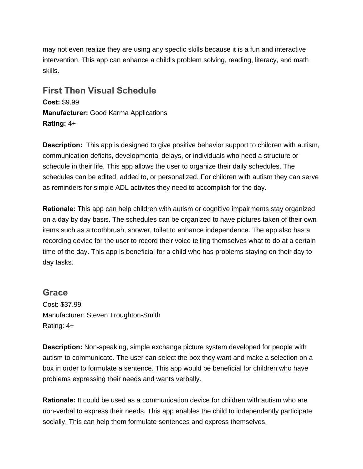may not even realize they are using any specfic skills because it is a fun and interactive intervention. This app can enhance a child's problem solving, reading, literacy, and math skills.

**First Then Visual Schedule Cost:** \$9.99 **Manufacturer:** Good Karma Applications **Rating:** 4+

**Description:** This app is designed to give positive behavior support to children with autism, communication deficits, developmental delays, or individuals who need a structure or schedule in their life. This app allows the user to organize their daily schedules. The schedules can be edited, added to, or personalized. For children with autism they can serve as reminders for simple ADL activites they need to accomplish for the day.

**Rationale:** This app can help children with autism or cognitive impairments stay organized on a day by day basis. The schedules can be organized to have pictures taken of their own items such as a toothbrush, shower, toilet to enhance independence. The app also has a recording device for the user to record their voice telling themselves what to do at a certain time of the day. This app is beneficial for a child who has problems staying on their day to day tasks.

#### **Grace**

Cost: \$37.99 Manufacturer: Steven Troughton-Smith Rating: 4+

**Description:** Non-speaking, simple exchange picture system developed for people with autism to communicate. The user can select the box they want and make a selection on a box in order to formulate a sentence. This app would be beneficial for children who have problems expressing their needs and wants verbally.

**Rationale:** It could be used as a communication device for children with autism who are non-verbal to express their needs. This app enables the child to independently participate socially. This can help them formulate sentences and express themselves.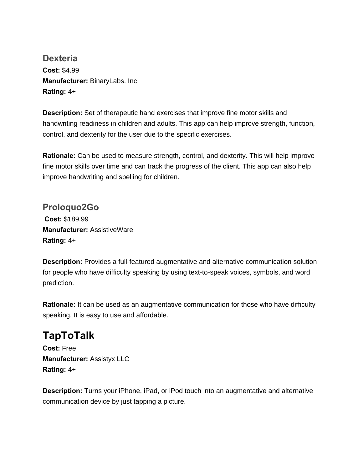**Dexteria Cost:** \$4.99 **Manufacturer:** BinaryLabs. Inc **Rating:** 4+

**Description:** Set of therapeutic hand exercises that improve fine motor skills and handwriting readiness in children and adults. This app can help improve strength, function, control, and dexterity for the user due to the specific exercises.

**Rationale:** Can be used to measure strength, control, and dexterity. This will help improve fine motor skills over time and can track the progress of the client. This app can also help improve handwriting and spelling for children.

**Proloquo2Go Cost:** \$189.99 **Manufacturer:** AssistiveWare **Rating:** 4+

**Description:** Provides a full-featured augmentative and alternative communication solution for people who have difficulty speaking by using text-to-speak voices, symbols, and word prediction.

**Rationale:** It can be used as an augmentative communication for those who have difficulty speaking. It is easy to use and affordable.

# **TapToTalk**

**Cost:** Free **Manufacturer:** Assistyx LLC **Rating:** 4+

**Description:** Turns your iPhone, iPad, or iPod touch into an augmentative and alternative communication device by just tapping a picture.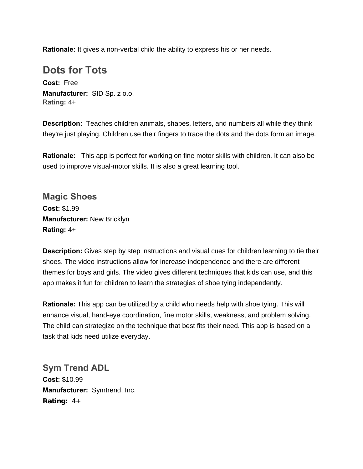**Rationale:** It gives a non-verbal child the ability to express his or her needs.

#### **Dots for Tots**

**Cost:** Free **Manufacturer:** SID Sp. z o.o. **Rating:** 4+

**Description:** Teaches children animals, shapes, letters, and numbers all while they think they're just playing. Children use their fingers to trace the dots and the dots form an image.

**Rationale:** This app is perfect for working on fine motor skills with children. It can also be used to improve visual-motor skills. It is also a great learning tool.

**Magic Shoes Cost:** \$1.99 **Manufacturer:** New Bricklyn **Rating:** 4+

**Description:** Gives step by step instructions and visual cues for children learning to tie their shoes. The video instructions allow for increase independence and there are different themes for boys and girls. The video gives different techniques that kids can use, and this app makes it fun for children to learn the strategies of shoe tying independently.

**Rationale:** This app can be utilized by a child who needs help with shoe tying. This will enhance visual, hand-eye coordination, fine motor skills, weakness, and problem solving. The child can strategize on the technique that best fits their need. This app is based on a task that kids need utilize everyday.

**Sym Trend ADL Cost:** \$10.99 **Manufacturer:** Symtrend, Inc. **Rating:** 4+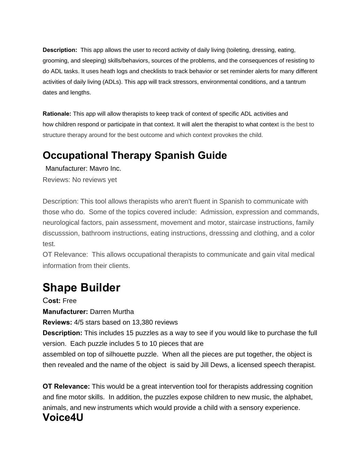**Description:** This app allows the user to record activity of daily living (toileting, dressing, eating, grooming, and sleeping) skills/behaviors, sources of the problems, and the consequences of resisting to do ADL tasks. It uses heath logs and checklists to track behavior or set reminder alerts for many different activities of daily living (ADLs). This app will track stressors, environmental conditions, and a tantrum dates and lengths.

**Rationale:** This app will allow therapists to keep track of context of specific ADL activities and how children respond or participate in that context. It will alert the therapist to what context is the best to structure therapy around for the best outcome and which context provokes the child.

# **Occupational Therapy Spanish Guide**

Manufacturer: Mavro Inc.

Reviews: No reviews yet

Description: This tool allows therapists who aren't fluent in Spanish to communicate with those who do. Some of the topics covered include: Admission, expression and commands, neurological factors, pain assessment, movement and motor, staircase instructions, family discusssion, bathroom instructions, eating instructions, dresssing and clothing, and a color test.

OT Relevance: This allows occupational therapists to communicate and gain vital medical information from their clients.

# **Shape Builder**

C**ost:** Free

**Manufacturer:** Darren Murtha

**Reviews:** 4/5 stars based on 13,380 reviews

**Description:** This includes 15 puzzles as a way to see if you would like to purchase the full version. Each puzzle includes 5 to 10 pieces that are

assembled on top of silhouette puzzle. When all the pieces are put together, the object is then revealed and the name of the object is said by Jill Dews, a licensed speech therapist.

**OT Relevance:** This would be a great intervention tool for therapists addressing cognition and fine motor skills. In addition, the puzzles expose children to new music, the alphabet, animals, and new instruments which would provide a child with a sensory experience. **Voice4U**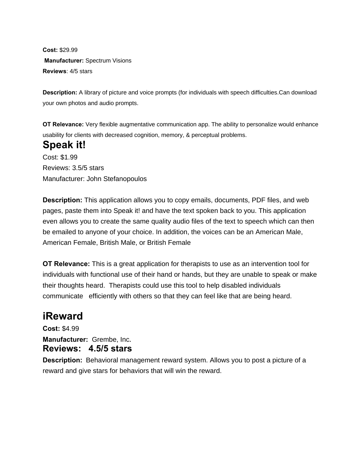**Cost:** \$29.99 **Manufacturer:** Spectrum Visions **Reviews**: 4/5 stars

**Description:** A library of picture and voice prompts (for individuals with speech difficulties.Can download your own photos and audio prompts.

**OT Relevance:** Very flexible augmentative communication app. The ability to personalize would enhance usability for clients with decreased cognition, memory, & perceptual problems.

## **Speak it!**

Cost: \$1.99 Reviews: 3.5/5 stars Manufacturer: John Stefanopoulos

**Description:** This application allows you to copy emails, documents, PDF files, and web pages, paste them into Speak it! and have the text spoken back to you. This application even allows you to create the same quality audio files of the text to speech which can then be emailed to anyone of your choice. In addition, the voices can be an American Male, American Female, British Male, or British Female

**OT Relevance:** This is a great application for therapists to use as an intervention tool for individuals with functional use of their hand or hands, but they are unable to speak or make their thoughts heard. Therapists could use this tool to help disabled individuals communicate efficiently with others so that they can feel like that are being heard.

## **iReward**

**Cost:** \$4.99 **Manufacturer:** Grembe, Inc**. Reviews: 4.5/5 stars** 

**Description:** Behavioral management reward system. Allows you to post a picture of a reward and give stars for behaviors that will win the reward.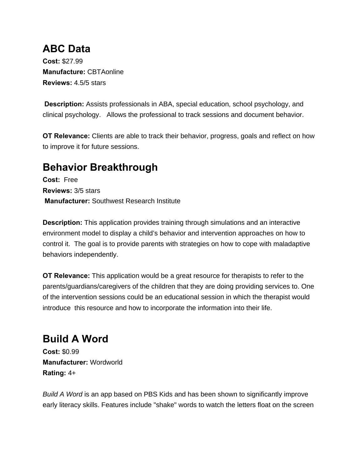## **ABC Data**

**Cost:** \$27.99 **Manufacture:** CBTAonline **Reviews:** 4.5/5 stars

**Description:** Assists professionals in ABA, special education, school psychology, and clinical psychology. Allows the professional to track sessions and document behavior.

**OT Relevance:** Clients are able to track their behavior, progress, goals and reflect on how to improve it for future sessions.

## **Behavior Breakthrough**

**Cost:** Free **Reviews:** 3/5 stars  **Manufacturer:** Southwest Research Institute

**Description:** This application provides training through simulations and an interactive environment model to display a child's behavior and intervention approaches on how to control it. The goal is to provide parents with strategies on how to cope with maladaptive behaviors independently.

**OT Relevance:** This application would be a great resource for therapists to refer to the parents/guardians/caregivers of the children that they are doing providing services to. One of the intervention sessions could be an educational session in which the therapist would introduce this resource and how to incorporate the information into their life.

**Build A Word Cost:** \$0.99 **Manufacturer:** Wordworld **Rating:** 4+

*Build A Word* is an app based on PBS Kids and has been shown to significantly improve early literacy skills. Features include "shake" words to watch the letters float on the screen